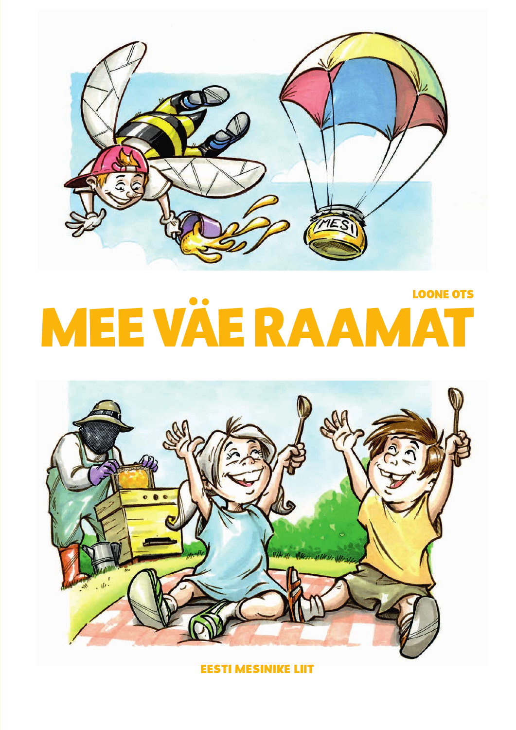

# **LOONE OTS** MEE VÄERAAM



**EESTI MESINIKE LIIT**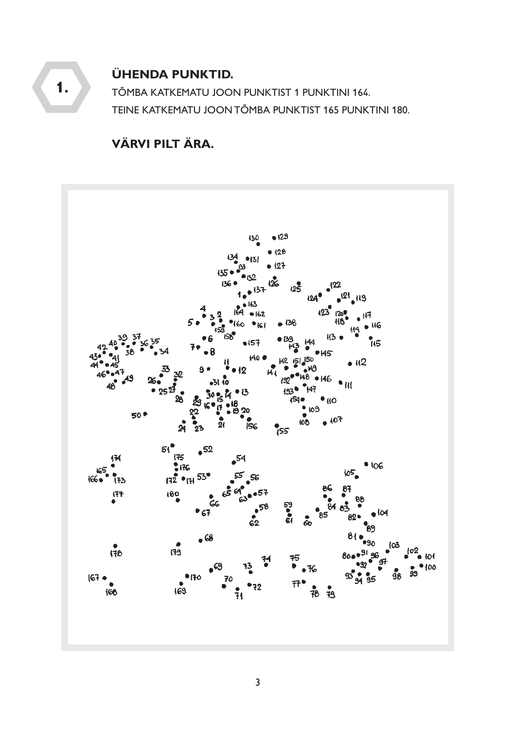

**ÜHENDA PUNKTID.** 

**1.** TÕMBA KATKEMATU JOON PUNKTIST 1 PUNKTINI 164. TEINE KATKEMATU JOON TÕMBA PUNKTIST 165 PUNKTINI 180.

# **VÄRVI PILT ÄRA.**

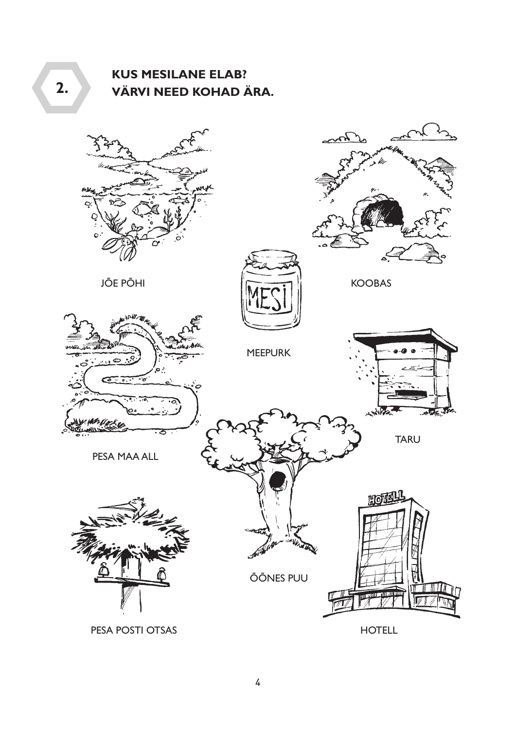# **KUS MESILANE ELAB?** VÄRVI NEED KOHAD ÄRA.

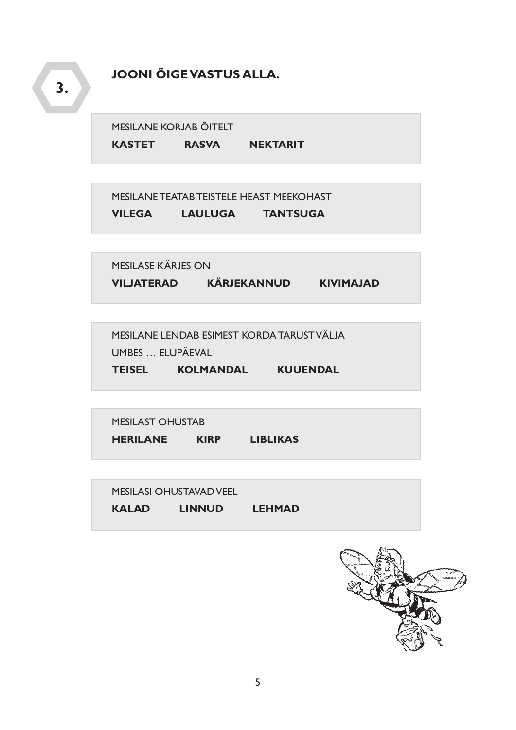## **JOONI ÕIGE VASTUS ALLA.**

MESILANE KORJAB ÕITELT

KASTET RASVA NEKTARIT

MESILANE TEATAB TEISTELE HEAST MEEKOHAST VILEGA LAULUGA TANTSUGA

MESILASE KÄRJES ON VILJATERAD KÄRJEKANNUD KIVIMAJAD

MESILANE LENDAB ESIMEST KORDA TARUST VÄLJA UMBES ... ELUPÄEVAL

TEISEL KOLMANDAL KUUENDAL

**MESILAST OHUSTAB** HERILANE KIRP LIBLIKAS

**MESILASI OHUSTAVAD VEEL** KALAD LINNUD LEHMAD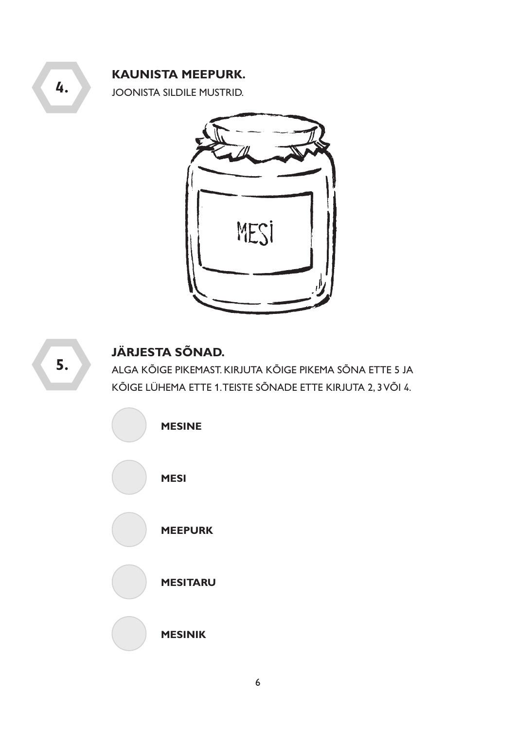#### **KAUNISTA MEEPURK.**

JOONISTA SILDILE MUSTRID.





# **JÄRJESTA SÕNAD.**

ALGA KÕIGE PIKEMAST. KIRJUTA KÕIGE PIKEMA SÕNA ETTE 5 JA KÕIGE LÜHEMA ETTE 1. TEISTE SÕNADE ETTE KIRJUTA 2, 3 VÕI 4.

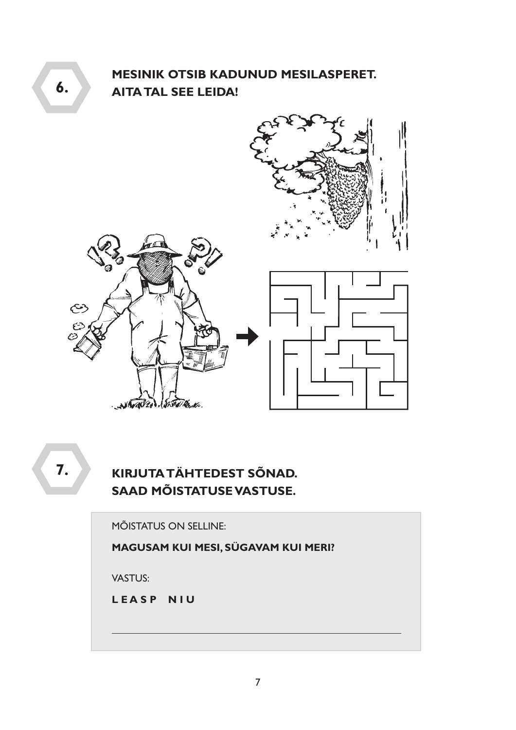# **MESINIK OTSIB KADUNUD MESILASPERET. AITA TAL SEE LEIDA!**



7.

# KIRJUTA TÄHTEDEST SÕNAD. SAAD MÕISTATUSE VASTUSE.

**MÕISTATUS ON SELLINE:** 

MAGUSAM KUI MESI, SÜGAVAM KUI MERI?

**VASTUS:** 

LEASP NIU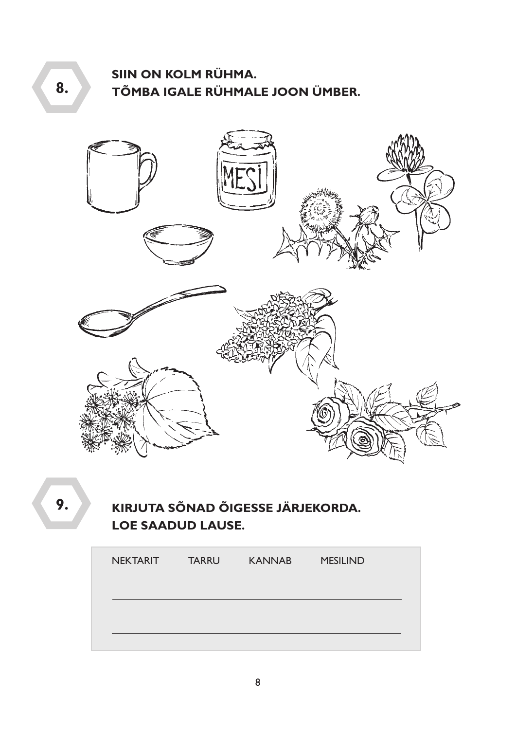# SIIN ON KOLM RÜHMA. TÕMBA IGALE RÜHMALE JOON ÜMBER.



9.

# KIRJUTA SÕNAD ÕIGESSE JÄRJEKORDA. **LOE SAADUD LAUSE.**

| <b>NEKTARIT</b> | <b>TARRU</b> | <b>KANNAB</b> | <b>MESILIND</b> |
|-----------------|--------------|---------------|-----------------|
|                 |              |               |                 |
|                 |              |               |                 |
|                 |              |               |                 |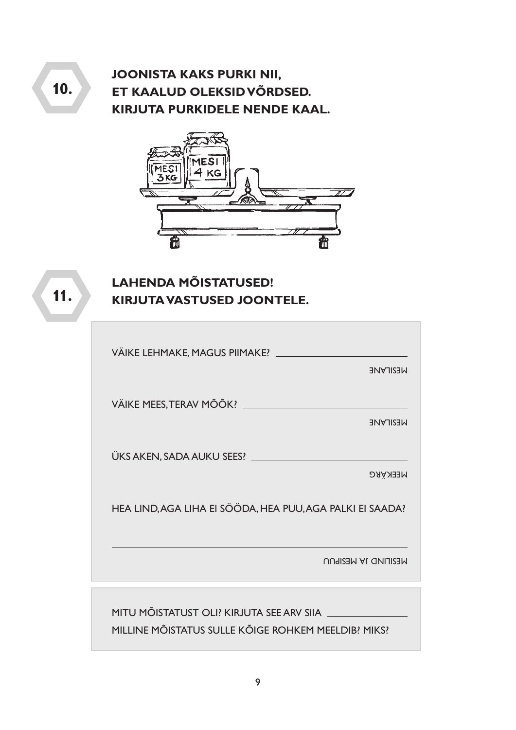# **JOONISTA KAKS PURKI NII,** ET KAALUD OLEKSID VÕRDSED. **KIRJUTA PURKIDELE NENDE KAAL.**



# $11.$

 $10.$ 

# **LAHENDA MÕISTATUSED!** KIRJUTA VASTUSED JOONTELE.

| VÄIKE LEHMAKE, MAGUS PIIMAKE?                             |  |
|-----------------------------------------------------------|--|
| <b>NESILANE</b>                                           |  |
| VÄIKE MEES, TERAV MÕÕK? _____________________             |  |
| <b>NESILANE</b>                                           |  |
|                                                           |  |
| <b>MEEKARG</b>                                            |  |
| HEA LIND, AGA LIHA EI SÖÖDA, HEA PUU, AGA PALKI EI SAADA? |  |
| <b>MESILIND JA MESIPUU</b>                                |  |
|                                                           |  |
| MITU MÕISTATUST OLI? KIRJUTA SEE ARV SIIA __              |  |
| MILLINE MÕISTATUS SULLE KÕIGE ROHKEM MEELDIB? MIKS?       |  |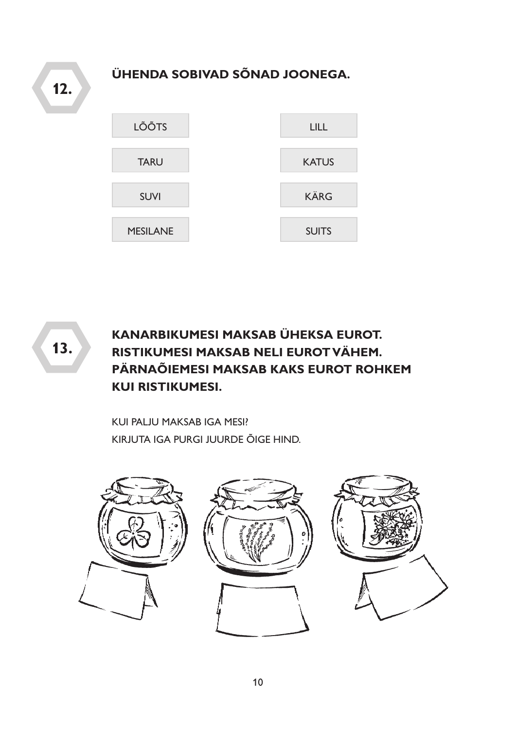ÜHENDA SOBIVAD SÕNAD JOONEGA.  $12.$ LÕÕTS **LILL TARU KATUS KÄRG SUVI MESILANE SUITS** 

 $13.$ 

# **KANARBIKUMESI MAKSAB ÜHEKSA EUROT.** RISTIKUMESI MAKSAB NELI EUROT VÄHEM. PÄRNAÕIEMESI MAKSAB KAKS EUROT ROHKEM **KUI RISTIKUMESI.**

KUI PALJU MAKSAB IGA MESI? KIRJUTA IGA PURGI JUURDE ÕIGE HIND.



10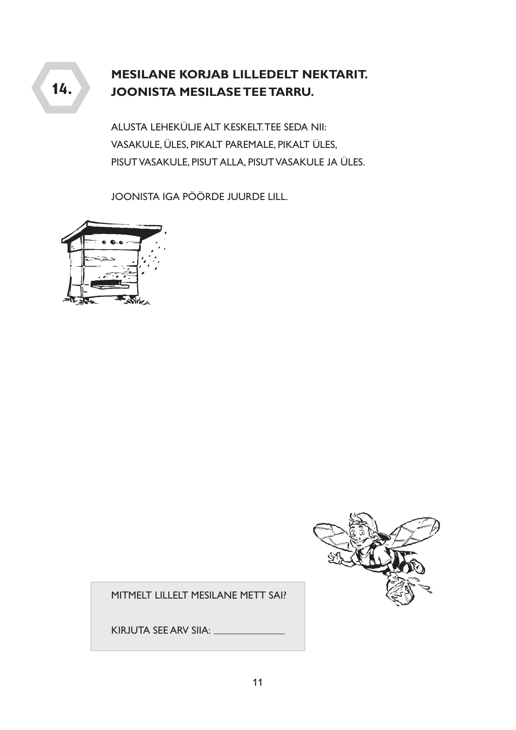# **MESILANE KORJAB LILLEDELT NEKTARIT. JOONISTA MESILASE TEE TARRU.**

ALUSTA LEHEKÜLJE ALT KESKELT. TEE SEDA NII: VASAKULE, ÜLES, PIKALT PAREMALE, PIKALT ÜLES, PISUT VASAKULE, PISUT ALLA, PISUT VASAKULE JA ÜLES.

JOONISTA IGA PÖÖRDE JUURDE LILL.





MITMELT LILLELT MESILANE METT SAI?

KIRJUTA SEE ARV SIIA: \_\_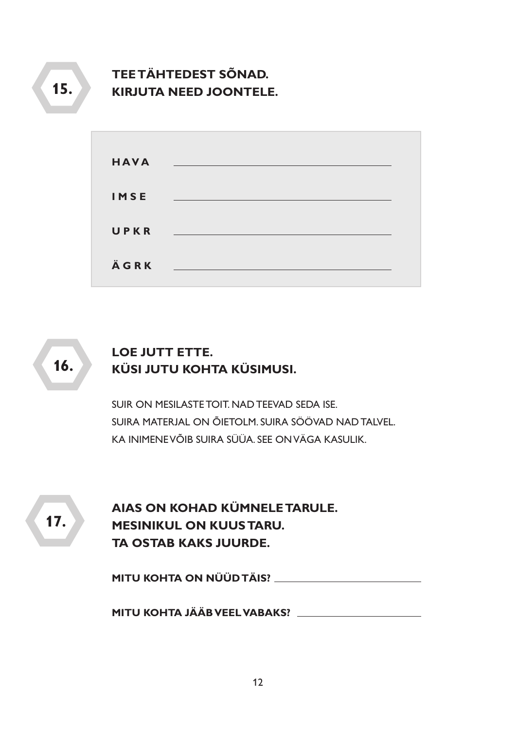# **TEE TÄHTEDEST SÕNAD. KIRJUTA NEED JOONTELE.**

| <b>HAVA</b> |                                                                                |  |
|-------------|--------------------------------------------------------------------------------|--|
| <b>IMSE</b> | and the control of the control of the control of the control of the control of |  |
| UPKR        | <u> 1999 - Johann Stoff, skriuwer fan de Fryske k</u>                          |  |
| ÄGRK        |                                                                                |  |

16.

# **LOE JUTT ETTE.** KÜSI JUTU KOHTA KÜSIMUSI.

SUIR ON MESILASTE TOIT NAD TEEVAD SEDA ISE. SUIRA MATERJAL ON ÕIETOLM. SUIRA SÖÖVAD NAD TALVEL. KA INIMENE VÕIB SUIRA SÜÜA. SEE ON VÄGA KASULIK.

 $17.$ 

AIAS ON KOHAD KÜMNELE TARULE. **MESINIKUL ON KUUS TARU. TA OSTAB KAKS JUURDE.** 

MITU KOHTA ON NÜÜD TÄIS?

MITU KOHTA JÄÄB VEEL VABAKS?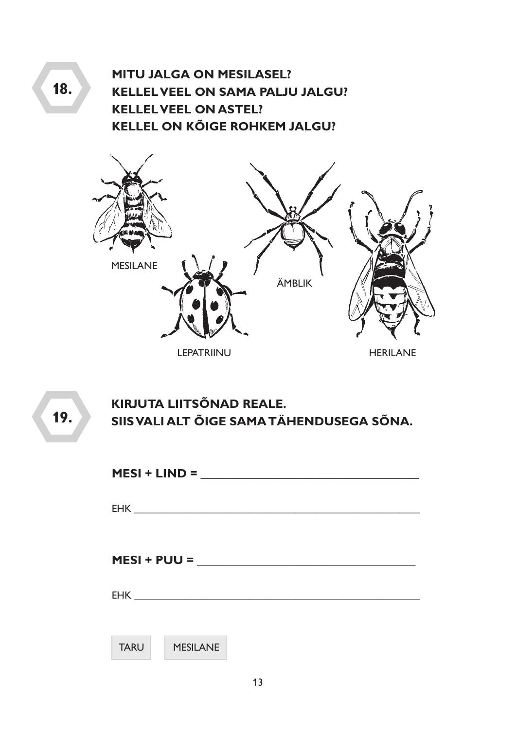**MITU JALGA ON MESILASEL? KELLEL VEEL ON SAMA PALJU JALGU? KELLEL VEEL ON ASTEL? KELLEL ON KÕIGE ROHKEM JALGU?** 



KIRJUTA LIITSÕNAD REALE. SIIS VALI ALT ÕIGE SAMA TÄHENDUSEGA SÕNA.

| $MESI + LIND =$                |  |  |
|--------------------------------|--|--|
|                                |  |  |
|                                |  |  |
|                                |  |  |
|                                |  |  |
|                                |  |  |
| $MESI + PUU =$                 |  |  |
|                                |  |  |
|                                |  |  |
|                                |  |  |
|                                |  |  |
| <b>MESILANE</b><br><b>TARU</b> |  |  |
|                                |  |  |
|                                |  |  |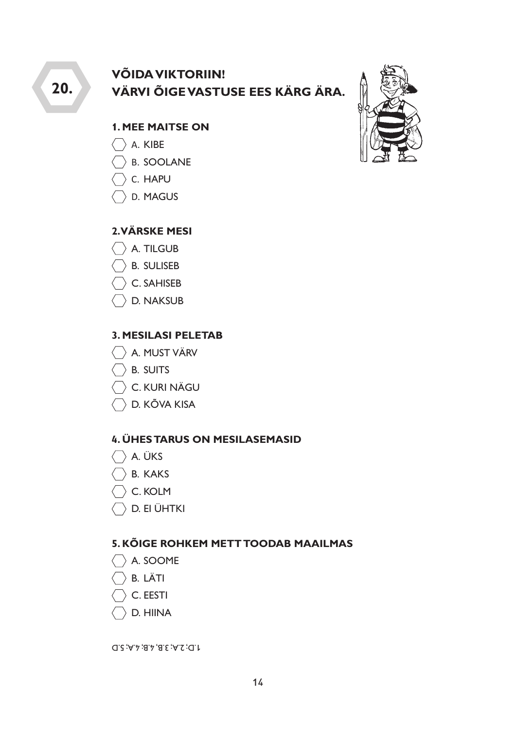20.

# **VÕIDA VIKTORIIN!** VÄRVI ÕIGE VASTUSE EES KÄRG ÄRA.

#### **1. MEE MAITSE ON**

- $\bigcirc$  A. KIBE
- $\overline{)}$  B. SOOLANE
- $\overline{\phantom{a}}$  C. Hapu
- $\rightarrow$  D. MAGUS

#### **2.VÄRSKE MESI**

- $\langle \rangle$  A. TILGUB
- $\bigcirc$  B. Suliseb
- $\left\langle \right\rangle$  C. SAHISEB
- D. NAKSUB

#### **3. MESILASI PELETAB**

- A. MUST VÄRV
- $\bigcirc$  B. SUITS
- $\langle \rangle$  C. KURI NÄGU
- $\langle \rangle$  D. KÕVA KISA

#### **4. ÜHES TARUS ON MESILASEMASID**

- $\langle \rangle$  A. ÜKS
- $\bigcirc$  B. KAKS
- $\overline{\phantom{a}}$  C. KOLM
- $\langle \rangle$  D. EI ÜHTKI

#### **5. KÕIGE ROHKEM METT TOODAB MAAILMAS**

- $\langle \rangle$  A. SOOME
- $\overline{\phantom{a}}$  b. Läti
- $\overline{\phantom{x}}$  C. EESTI
- D. HIINA

 $J.D; 2.A; 3.B, 4.B; 4.A; 5.D$ 

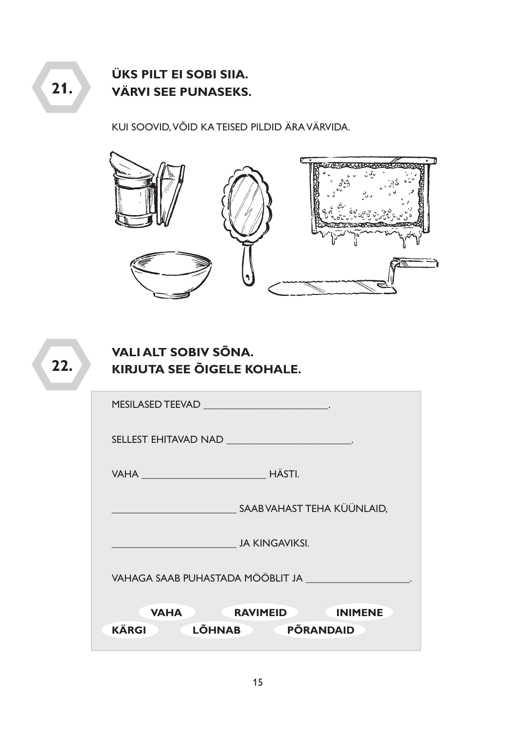**ÜKS PILT EI SOBI SIIA. VÄRVI SEE PUNASEKS.** 

KUI SOOVID, VÕID KA TEISED PILDID ÄRA VÄRVIDA.



 $22.$ 

# **VALI ALT SOBIV SÕNA. KIRJUTA SEE ÕIGELE KOHALE.**

| MESILASED TEEVAD                                                                                               |
|----------------------------------------------------------------------------------------------------------------|
| SELLEST EHITAVAD NAD ______________________________                                                            |
| VAHA HÄSTI.                                                                                                    |
| SAAB VAHAST TEHA KÜÜNLAID,                                                                                     |
| <b>Example 2018 JA KINGAVIKSI.</b>                                                                             |
| VAHAGA SAAB PUHASTADA MÖÖBLIT JA PARAGA SAAB PUHASTADA MÖÖBLIT JA PARAGA SAAB PUHASTADA MÖÖBLIT JA PARAGA SAAB |
| <b>EXAMPLE RAVIMEID RAVIMENT RAVIMENT</b><br><b>VAHA</b>                                                       |
| PÕRANDAID<br>LÕHNAB<br><b>KÄRGI</b>                                                                            |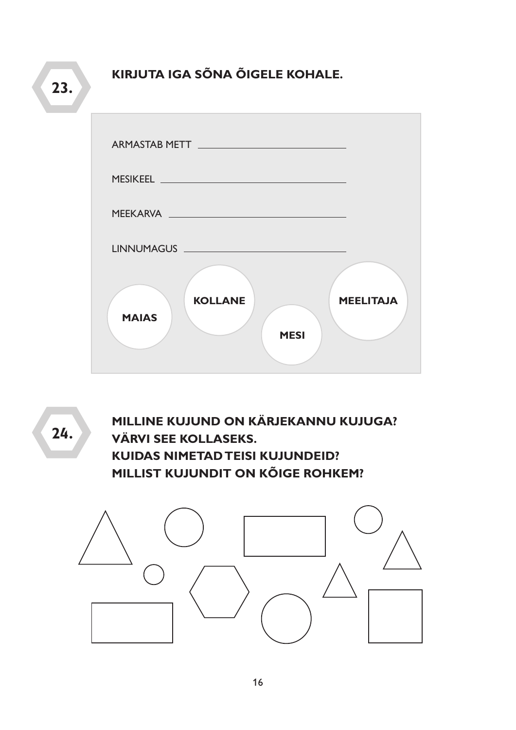KIRJUTA IGA SÕNA ÕIGELE KOHALE.

 $23.$ 

| ARMASTAB METT <b>ARMASTAB</b> METT            |                  |
|-----------------------------------------------|------------------|
|                                               |                  |
| MEEKARVA NEEKARVA                             |                  |
|                                               |                  |
| <b>KOLLANE</b><br><b>MAIAS</b><br><b>MESI</b> | <b>MEELITAJA</b> |

24.

MILLINE KUJUND ON KÄRJEKANNU KUJUGA? **VÄRVI SEE KOLLASEKS. KUIDAS NIMETAD TEISI KUJUNDEID?** MILLIST KUJUNDIT ON KÕIGE ROHKEM?

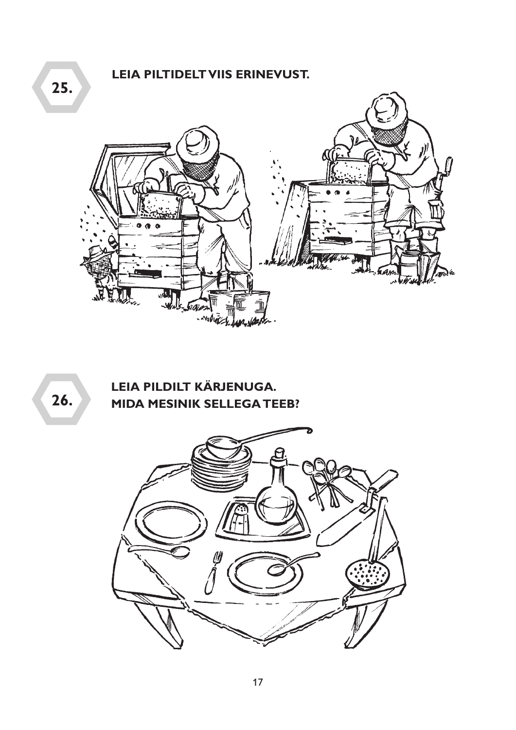LEIA PILTIDELT VIIS ERINEVUST.



 $26.$ 

LEIA PILDILT KÄRJENUGA. MIDA MESINIK SELLEGA TEEB?

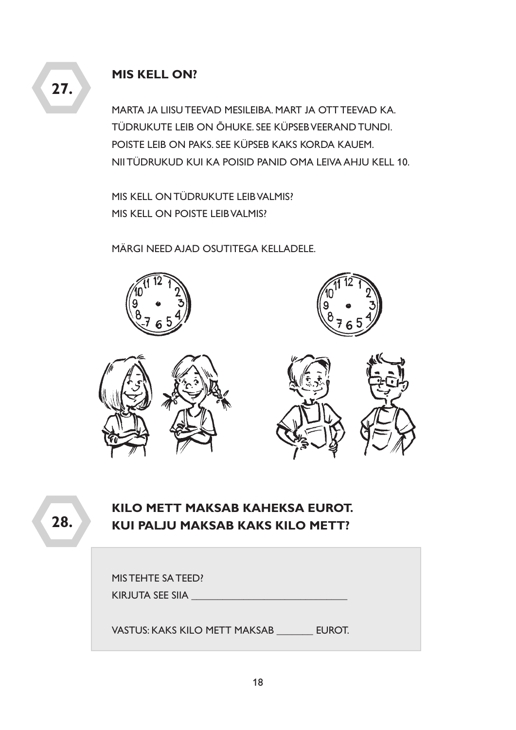#### **MIS KELL ON?**

MARTA JA LIISU TEEVAD MESILEIBA. MART JA OTT TEEVAD KA. TÜDRUKUTE LEIB ON ÕHUKE. SEE KÜPSEB VEERAND TUNDI. POISTE LEIB ON PAKS. SEE KÜPSEB KAKS KORDA KAUEM. NII TÜDRUKUD KUI KA POISID PANID OMA LEIVA AHJU KELL 10.

MIS KELL ON TÜDRUKUTE LEIB VALMIS? MIS KELL ON POISTE LEIB VALMIS?

MÄRGI NEED AJAD OSUTITEGA KELLADELE.



**KILO METT MAKSAB KAHEKSA EUROT. KUI PALJU MAKSAB KAKS KILO METT?**

| MIS TEHTE SA TEED?            |        |
|-------------------------------|--------|
| KIRJUTA SEE SIIA              |        |
|                               |        |
| VASTUS: KAKS KILO METT MAKSAB | EUROT. |

**27.**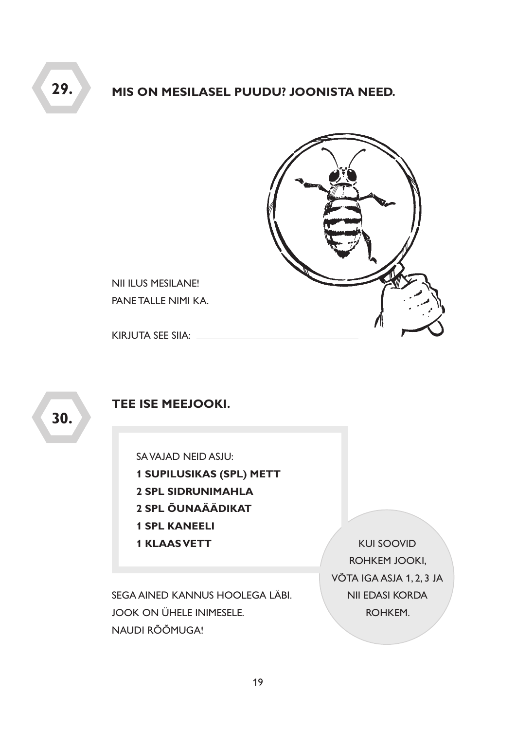#### MIS ON MESILASEL PUUDU? JOONISTA NEED.



NII ILUS MESILANE! PANE TALLE NIMI KA.

KIRJUTA SEE SIIA: \_\_\_\_\_\_\_\_\_

30.

29.

#### TEE ISE MEEJOOKI.

SAVAJAD NEID ASJU:

- **1 SUPILUSIKAS (SPL) METT**
- 2 SPL SIDRUNIMAHLA
- 2 SPL ÕUNAÄÄDIKAT
- **1 SPL KANEELI**
- **1 KLAAS VETT**

SEGA AINED KANNUS HOOLEGA LÄBI. **JOOK ON ÜHELE INIMESELE.** NAUDI RÕÕMUGA!

**KUI SOOVID** ROHKEM JOOKI, VÕTA IGA ASJA 1, 2, 3 JA NII EDASI KORDA ROHKEM.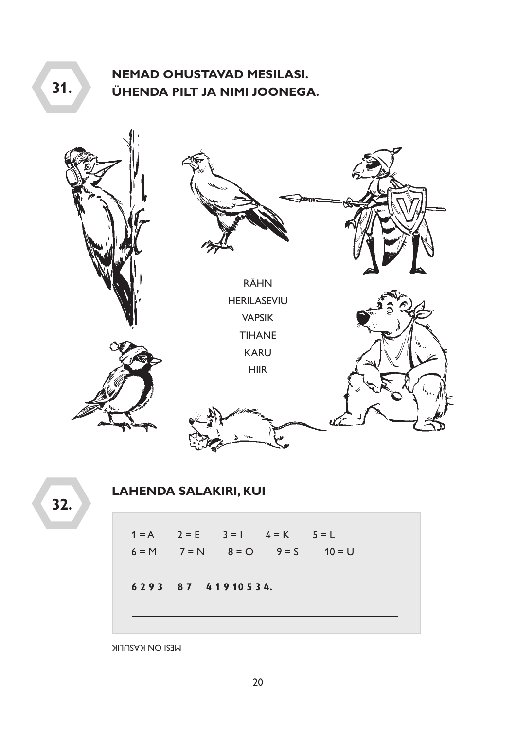# **NEMAD OHUSTAVAD MESILASI.** ÜHENDA PILT JA NIMI JOONEGA.



32.

 $31.$ 

### **LAHENDA SALAKIRI, KUI**

 $1 = A$   $2 = E$   $3 = 1$   $4 = K$   $5 = L$  $6 = M$   $7 = N$   $8 = O$   $9 = S$   $10 = U$ 6293 87 41910534.

**WESI ON KASULIK**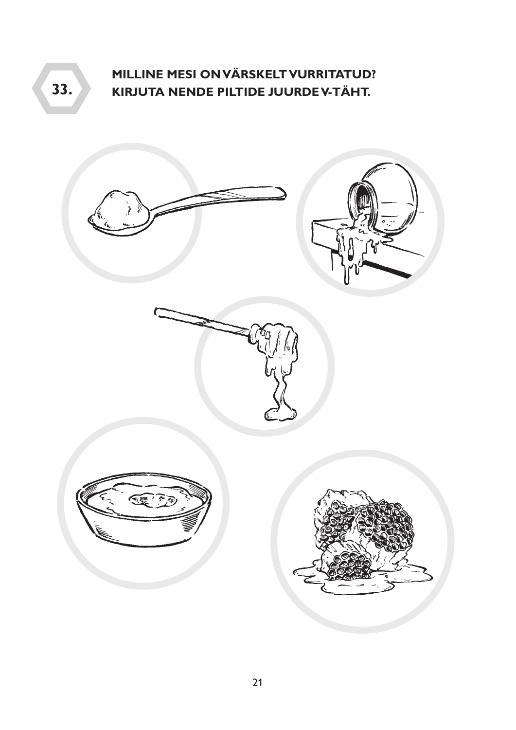**MILLINE MESI ON VÄRSKELT VURRITATUD? 33. KIRJUTA NENDE PILTIDE JUURDE V-TÄHT.**

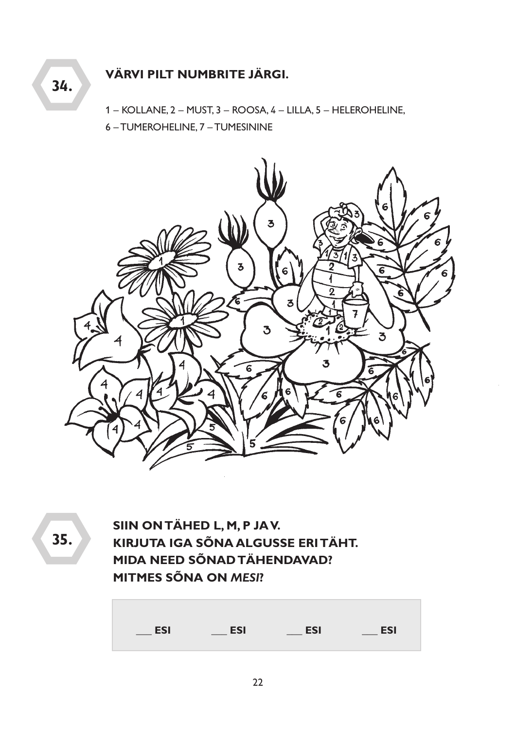#### VÄRVI PILT NUMBRITE JÄRGI. 34.

1 - KOLLANE, 2 - MUST, 3 - ROOSA, 4 - LILLA, 5 - HELEROHELINE,

6 - TUMEROHELINE, 7 - TUMESININE



35.

SIIN ON TÄHED L, M, P JAV. KIRJUTA IGA SÕNA ALGUSSE ERITÄHT. MIDA NEED SÕNAD TÄHENDAVAD? **MITMES SÕNA ON MESI?** 

| <b>ESI</b> | <b>ESI</b> | <b>ESI</b> | <b>ESI</b> |
|------------|------------|------------|------------|
|            |            |            |            |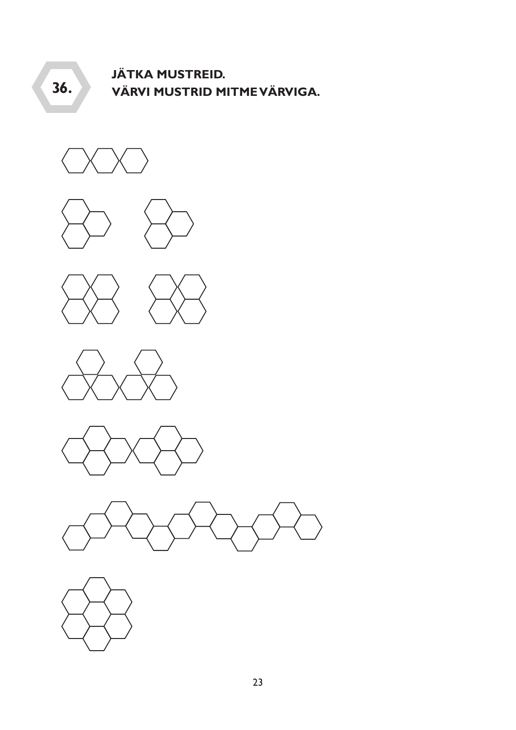#### **JÄTKA MUSTREID.** 36. VÄRVI MUSTRID MITME VÄRVIGA.



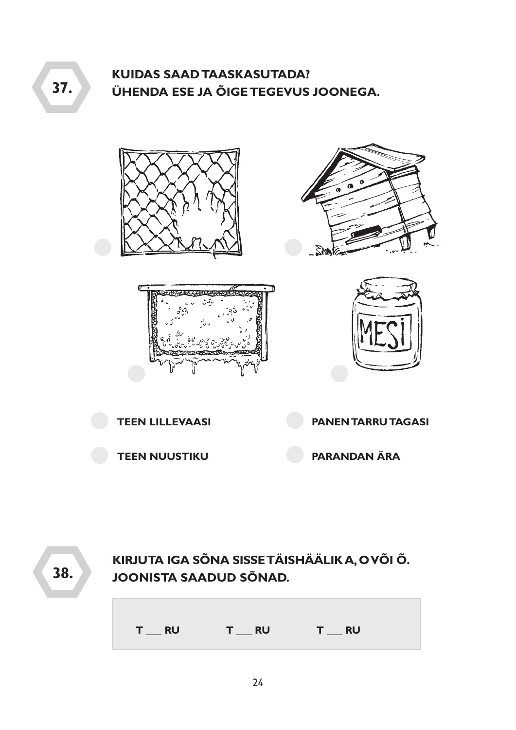# **KUIDAS SAAD TAASKASUTADA?** ÜHENDA ESE JA ÕIGE TEGEVUS JOONEGA.











KIRJUTA IGA SÕNA SISSE TÄISHÄÄLIK A, OVÕI Õ. 38. **JOONISTA SAADUD SÕNAD.**  $T_{\text{max}}$  RU  $T_R$  RU T RU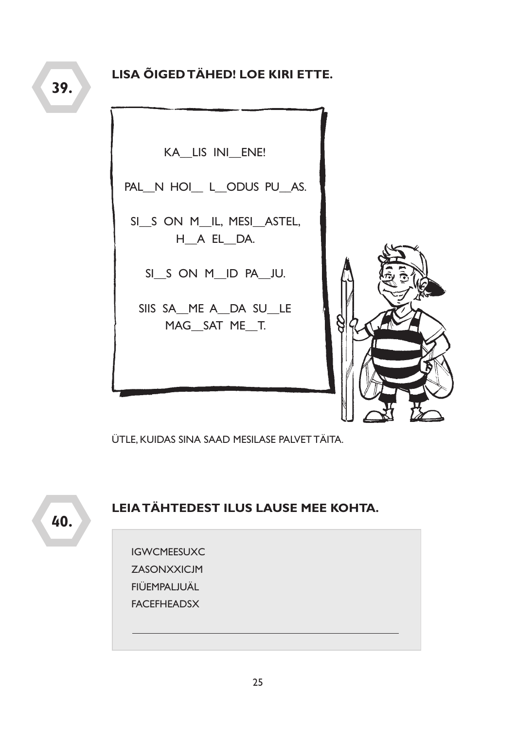KA\_LIS INI\_ENE!

PAL N HOI L ODUS PU AS.

SI\_S ON M\_IL, MESI\_ASTEL, H A EL DA.

SI S ON M ID PA JU.

SIIS SA\_ME A\_DA SU\_LE MAG SAT ME T.



ÜTLE, KUIDAS SINA SAAD MESILASE PALVET TÄITA.



# LEIA TÄHTEDEST ILUS LAUSE MEE KOHTA.

**IGWCMEESUXC ZASONXXICJM** FIÜEMPALJUÄL **FACFFHFADSX**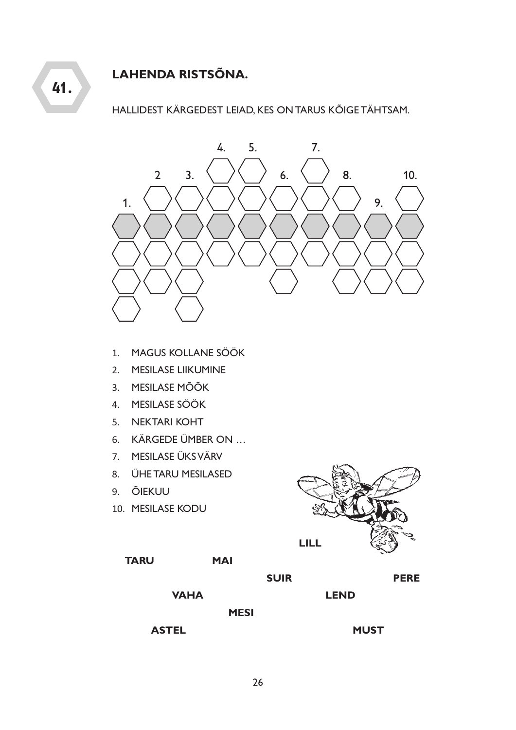# **LAHENDA RISTSÕNA.**

**41.**

HALLIDEST KÄRGEDEST LEIAD, KES ON TARUS KÕIGE TÄHTSAM.



- 1. MAGUS KOLLANE SÖÖK
- 2. MESILASE LIIKUMINE
- 3. MESILASE MÕÕK
- 4. MESILASE SÖÖK
- 5. NEKTARI KOHT
- 6. KÄRGEDE ÜMBER ON …
- 7. MESILASE ÜKS VÄRV
- 8. ÜHE TARU MESILASED
- 9. ÕIEKUU
- 10. MESILASE KODU



| TARU | <b>MAI</b> |
|------|------------|
|      |            |

**SUIR PERE**

**VAHA**

**MESI**

**ASTEL**

**LEND**

**MUST**